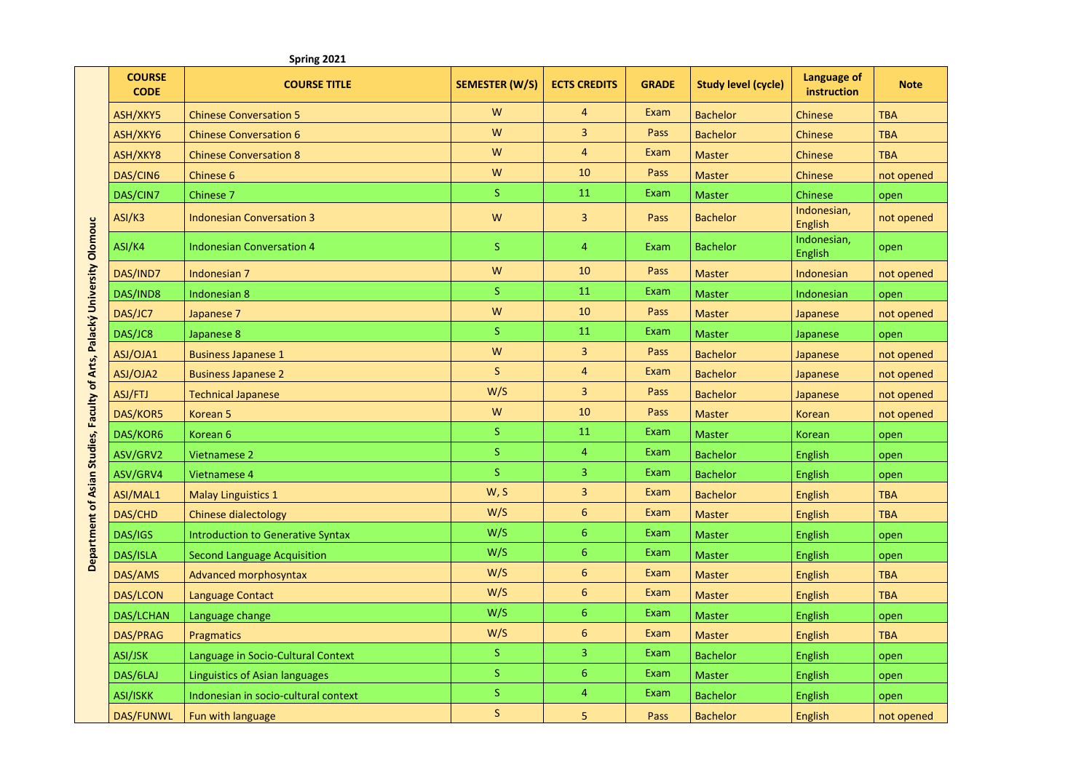|                                                                          |                              | Spring 2021                           |                       |                     |              |                            |                            |             |
|--------------------------------------------------------------------------|------------------------------|---------------------------------------|-----------------------|---------------------|--------------|----------------------------|----------------------------|-------------|
|                                                                          | <b>COURSE</b><br><b>CODE</b> | <b>COURSE TITLE</b>                   | <b>SEMESTER (W/S)</b> | <b>ECTS CREDITS</b> | <b>GRADE</b> | <b>Study level (cycle)</b> | Language of<br>instruction | <b>Note</b> |
| Department of Asian Studies, Faculty of Arts, Palacký University Olomouc | ASH/XKY5                     | <b>Chinese Conversation 5</b>         | W                     | $\overline{4}$      | Exam         | <b>Bachelor</b>            | <b>Chinese</b>             | <b>TBA</b>  |
|                                                                          | ASH/XKY6                     | <b>Chinese Conversation 6</b>         | W                     | 3                   | Pass         | <b>Bachelor</b>            | <b>Chinese</b>             | <b>TBA</b>  |
|                                                                          | ASH/XKY8                     | <b>Chinese Conversation 8</b>         | W                     | $\overline{4}$      | Exam         | <b>Master</b>              | <b>Chinese</b>             | <b>TBA</b>  |
|                                                                          | DAS/CIN6                     | Chinese 6                             | ${\sf W}$             | 10                  | Pass         | <b>Master</b>              | <b>Chinese</b>             | not opened  |
|                                                                          | DAS/CIN7                     | Chinese 7                             | $\mathsf S$           | 11                  | Exam         | <b>Master</b>              | Chinese                    | open        |
|                                                                          | ASI/K3                       | <b>Indonesian Conversation 3</b>      | ${\sf W}$             | $\mathbf{3}$        | Pass         | <b>Bachelor</b>            | Indonesian,<br>English     | not opened  |
|                                                                          | ASI/K4                       | <b>Indonesian Conversation 4</b>      | <sub>S</sub>          | 4                   | Exam         | <b>Bachelor</b>            | Indonesian,<br>English     | open        |
|                                                                          | DAS/IND7                     | Indonesian 7                          | W                     | 10                  | Pass         | <b>Master</b>              | Indonesian                 | not opened  |
|                                                                          | DAS/IND8                     | Indonesian 8                          | $\mathsf{S}$          | 11                  | Exam         | <b>Master</b>              | Indonesian                 | open        |
|                                                                          | DAS/JC7                      | Japanese 7                            | W                     | 10                  | Pass         | <b>Master</b>              | Japanese                   | not opened  |
|                                                                          | DAS/JC8                      | Japanese 8                            | <sub>S</sub>          | 11                  | Exam         | <b>Master</b>              | Japanese                   | open        |
|                                                                          | ASJ/OJA1                     | <b>Business Japanese 1</b>            | W                     | 3                   | Pass         | <b>Bachelor</b>            | Japanese                   | not opened  |
|                                                                          | ASJ/OJA2                     | <b>Business Japanese 2</b>            | $\mathsf S$           | $\overline{4}$      | Exam         | <b>Bachelor</b>            | Japanese                   | not opened  |
|                                                                          | ASJ/FTJ                      | <b>Technical Japanese</b>             | W/S                   | 3                   | Pass         | <b>Bachelor</b>            | Japanese                   | not opened  |
|                                                                          | DAS/KOR5                     | Korean <sub>5</sub>                   | W                     | 10                  | Pass         | <b>Master</b>              | Korean                     | not opened  |
|                                                                          | DAS/KOR6                     | Korean 6                              | $\mathsf S$           | 11                  | Exam         | <b>Master</b>              | <b>Korean</b>              | open        |
|                                                                          | ASV/GRV2                     | Vietnamese 2                          | $\mathsf S$           | $\overline{4}$      | Exam         | <b>Bachelor</b>            | English                    | open        |
|                                                                          | ASV/GRV4                     | Vietnamese 4                          | <sub>S</sub>          | 3                   | Exam         | <b>Bachelor</b>            | English                    | open        |
|                                                                          | ASI/MAL1                     | <b>Malay Linguistics 1</b>            | W, S                  | 3                   | Exam         | <b>Bachelor</b>            | English                    | <b>TBA</b>  |
|                                                                          | DAS/CHD                      | Chinese dialectology                  | W/S                   | 6                   | Exam         | <b>Master</b>              | English                    | <b>TBA</b>  |
|                                                                          | DAS/IGS                      | Introduction to Generative Syntax     | W/S                   | 6                   | Exam         | <b>Master</b>              | English                    | open        |
|                                                                          | DAS/ISLA                     | <b>Second Language Acquisition</b>    | W/S                   | 6                   | Exam         | <b>Master</b>              | English                    | open        |
|                                                                          | DAS/AMS                      | Advanced morphosyntax                 | W/S                   | 6                   | Exam         | <b>Master</b>              | English                    | <b>TBA</b>  |
|                                                                          | <b>DAS/LCON</b>              | <b>Language Contact</b>               | W/S                   | $\boldsymbol{6}$    | Exam         | <b>Master</b>              | English                    | <b>TBA</b>  |
|                                                                          | DAS/LCHAN                    | Language change                       | W/S                   | $6\phantom{a}$      | Exam         | <b>Master</b>              | English                    | open        |
|                                                                          | DAS/PRAG                     | Pragmatics                            | W/S                   | 6                   | Exam         | <b>Master</b>              | English                    | <b>TBA</b>  |
|                                                                          | ASI/JSK                      | Language in Socio-Cultural Context    | <sub>S</sub>          | 3                   | Exam         | <b>Bachelor</b>            | English                    | open        |
|                                                                          | DAS/6LAJ                     | <b>Linguistics of Asian languages</b> | $\mathsf S$           | $\boldsymbol{6}$    | Exam         | <b>Master</b>              | English                    | open        |
|                                                                          | <b>ASI/ISKK</b>              | Indonesian in socio-cultural context  | <sub>S</sub>          | $\overline{4}$      | Exam         | <b>Bachelor</b>            | English                    | open        |
|                                                                          | DAS/FUNWL                    | Fun with language                     | $\mathsf S$           | 5                   | Pass         | <b>Bachelor</b>            | English                    | not opened  |